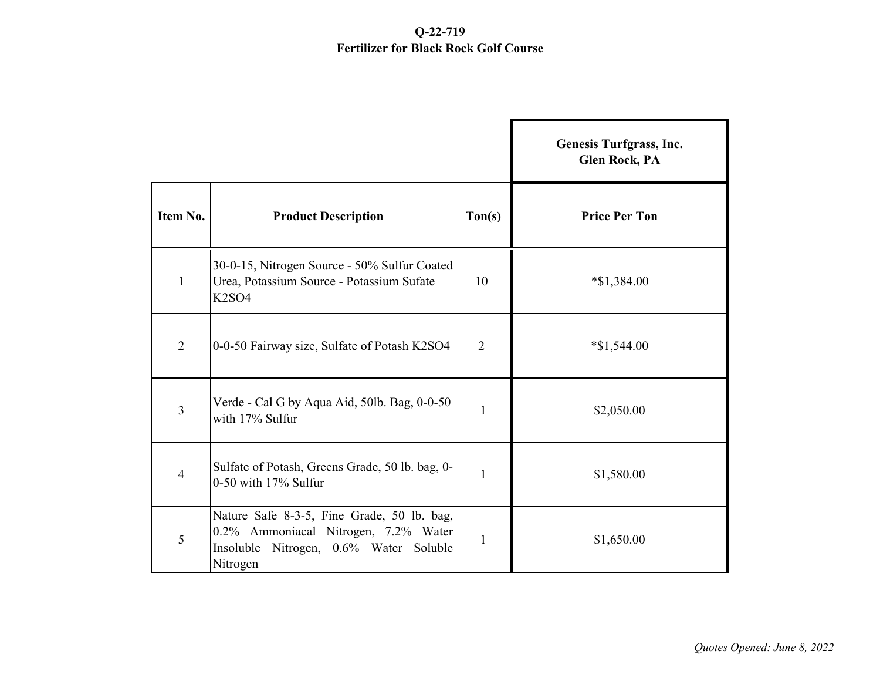## **Q-22-719 Fertilizer for Black Rock Golf Course**

|                |                                                                                                                                          |                  | Genesis Turfgrass, Inc.<br><b>Glen Rock, PA</b> |
|----------------|------------------------------------------------------------------------------------------------------------------------------------------|------------------|-------------------------------------------------|
| Item No.       | <b>Product Description</b>                                                                                                               | $\text{ Ton}(s)$ | <b>Price Per Ton</b>                            |
| $\mathbf{1}$   | 30-0-15, Nitrogen Source - 50% Sulfur Coated<br>Urea, Potassium Source - Potassium Sufate<br>K <sub>2</sub> SO <sub>4</sub>              | 10               | $*$ \$1,384.00                                  |
| $\overline{2}$ | 0-0-50 Fairway size, Sulfate of Potash K2SO4                                                                                             | $\overline{2}$   | $*$ \$1,544.00                                  |
| 3              | Verde - Cal G by Aqua Aid, 50lb. Bag, 0-0-50<br>with 17% Sulfur                                                                          | $\mathbf{1}$     | \$2,050.00                                      |
| 4              | Sulfate of Potash, Greens Grade, 50 lb. bag, 0-<br>0-50 with 17% Sulfur                                                                  | 1                | \$1,580.00                                      |
| 5              | Nature Safe 8-3-5, Fine Grade, 50 lb. bag,<br>0.2% Ammoniacal Nitrogen, 7.2% Water<br>Insoluble Nitrogen, 0.6% Water Soluble<br>Nitrogen | 1                | \$1,650.00                                      |